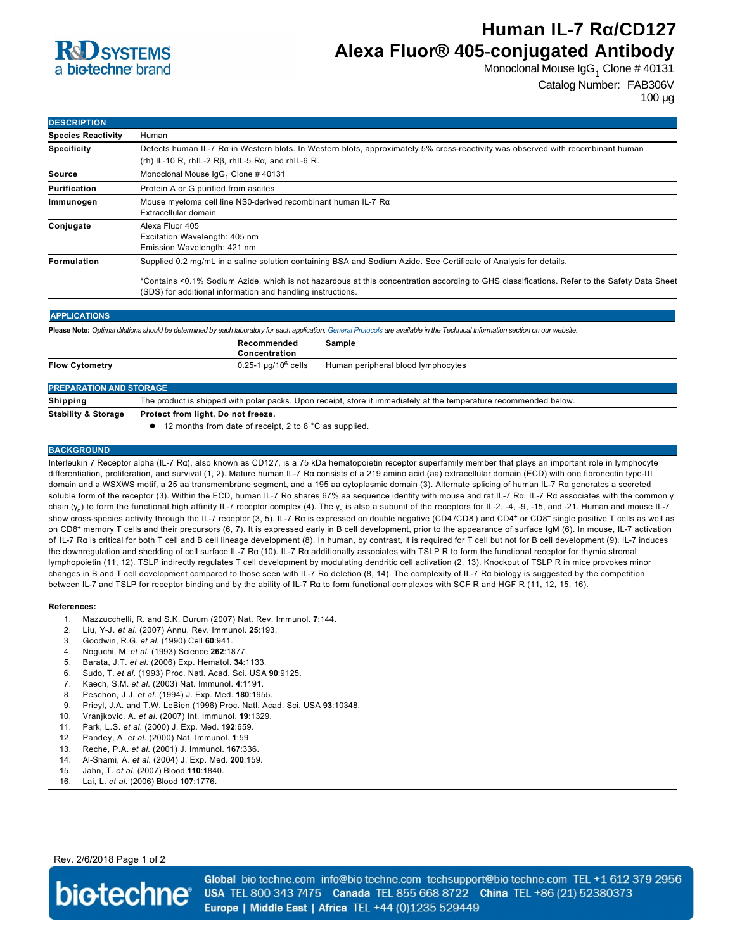

# **Human IL-7 Rα/CD127 Alexa Fluor® 405-conjugated Antibody**

Monoclonal Mouse IgG $_1$  Clone # 40131

Catalog Number: FAB306V

100 µg

| <b>DESCRIPTION</b>        |                                                                                                                                                                                                            |  |  |
|---------------------------|------------------------------------------------------------------------------------------------------------------------------------------------------------------------------------------------------------|--|--|
| <b>Species Reactivity</b> | Human                                                                                                                                                                                                      |  |  |
| <b>Specificity</b>        | Detects human IL-7 Ra in Western blots. In Western blots, approximately 5% cross-reactivity was observed with recombinant human<br>(rh) IL-10 R, rhIL-2 R $\beta$ , rhIL-5 R $\alpha$ , and rhIL-6 R.      |  |  |
| Source                    | Monoclonal Mouse IgG <sub>1</sub> Clone #40131                                                                                                                                                             |  |  |
| Purification              | Protein A or G purified from ascites                                                                                                                                                                       |  |  |
| Immunogen                 | Mouse myeloma cell line NS0-derived recombinant human IL-7 Ra<br>Extracellular domain                                                                                                                      |  |  |
| Conjugate                 | Alexa Fluor 405<br>Excitation Wavelength: 405 nm<br>Emission Wavelength: 421 nm                                                                                                                            |  |  |
| Formulation               | Supplied 0.2 mg/mL in a saline solution containing BSA and Sodium Azide. See Certificate of Analysis for details.                                                                                          |  |  |
|                           | *Contains <0.1% Sodium Azide, which is not hazardous at this concentration according to GHS classifications. Refer to the Safety Data Sheet<br>(SDS) for additional information and handling instructions. |  |  |

| <b>APPLICATIONS</b>                                                                                                                                                               |                                                                                                                   |                                    |  |
|-----------------------------------------------------------------------------------------------------------------------------------------------------------------------------------|-------------------------------------------------------------------------------------------------------------------|------------------------------------|--|
| Please Note: Optimal dilutions should be determined by each laboratory for each application. General Protocols are available in the Technical Information section on our website. |                                                                                                                   |                                    |  |
|                                                                                                                                                                                   | Recommended<br>Concentration                                                                                      | Sample                             |  |
| <b>Flow Cytometry</b>                                                                                                                                                             | $0.25 - 1 \mu q/10^6$ cells                                                                                       | Human peripheral blood lymphocytes |  |
| <b>PREPARATION AND STORAGE</b>                                                                                                                                                    |                                                                                                                   |                                    |  |
| <b>Shipping</b>                                                                                                                                                                   | The product is shipped with polar packs. Upon receipt, store it immediately at the temperature recommended below. |                                    |  |

**Stability & Storage Protect from light. Do not freeze.**

● 12 months from date of receipt, 2 to 8 °C as supplied.

### **BACKGROUND**

Interleukin 7 Receptor alpha (IL7 Rα), also known as CD127, is a 75 kDa hematopoietin receptor superfamily member that plays an important role in lymphocyte differentiation, proliferation, and survival (1, 2). Mature human IL-7 Rα consists of a 219 amino acid (aa) extracellular domain (ECD) with one fibronectin type-III domain and a WSXWS motif, a 25 aa transmembrane segment, and a 195 aa cytoplasmic domain (3). Alternate splicing of human IL-7 Rα generates a secreted soluble form of the receptor (3). Within the ECD, human IL-7 Rα shares 67% aa sequence identity with mouse and rat IL-7 Rα. IL-7 Rα associates with the common γ chain (γ<sub>c</sub>) to form the functional high affinity IL-7 receptor complex (4). The γ<sub>c</sub> is also a subunit of the receptors for IL-2, -4, -9, -15, and -21. Human and mouse IL-7 show cross-species activity through the IL-7 receptor (3, 5). IL-7 Rα is expressed on double negative (CD4<sup>-</sup>/CD8<sup>-</sup>) and CD4<sup>+</sup> or CD8<sup>+</sup> single positive T cells as well as on CD8<sup>+</sup> memory T cells and their precursors (6, 7). It is expressed early in B cell development, prior to the appearance of surface IgM (6). In mouse, IL-7 activation of IL7 Rα is critical for both T cell and B cell lineage development (8). In human, by contrast, it is required for T cell but not for B cell development (9). IL7 induces the downregulation and shedding of cell surface IL-7 Rα (10). IL-7 Rα additionally associates with TSLP R to form the functional receptor for thymic stromal lymphopoietin (11, 12). TSLP indirectly regulates T cell development by modulating dendritic cell activation (2, 13). Knockout of TSLP R in mice provokes minor changes in B and T cell development compared to those seen with IL-7 Rα deletion (8, 14). The complexity of IL-7 Rα biology is suggested by the competition between IL7 and TSLP for receptor binding and by the ability of IL7 Rα to form functional complexes with SCF R and HGF R (11, 12, 15, 16).

#### **References:**

- 1. Mazzucchelli, R. and S.K. Durum (2007) Nat. Rev. Immunol. **7**:144.
- 2. Liu, YJ. *et al.* (2007) Annu. Rev. Immunol. **25**:193.
- 3. Goodwin, R.G. *et al*. (1990) Cell **60**:941.
- 4. Noguchi, M. *et al*. (1993) Science **262**:1877.
- 5. Barata, J.T. *et al.* (2006) Exp. Hematol. **34**:1133.
- 6. Sudo, T. *et al.* (1993) Proc. Natl. Acad. Sci. USA **90**:9125.
- 7. Kaech, S.M. *et al.* (2003) Nat. Immunol. **4**:1191.
- 8. Peschon, J.J. *et al.* (1994) J. Exp. Med. **180**:1955.
- 9. Prieyl, J.A. and T.W. LeBien (1996) Proc. Natl. Acad. Sci. USA **93**:10348.
- 10. Vranjkovic, A. *et al.* (2007) Int. Immunol. **19**:1329.
- 11. Park, L.S. *et al.* (2000) J. Exp. Med. **192**:659.
- 12. Pandey, A. *et al.* (2000) Nat. Immunol. **1**:59.
- 13. Reche, P.A. *et al.* (2001) J. Immunol. **167**:336.
- 14. AlShami, A. *et al*. (2004) J. Exp. Med. **200**:159.
- 15. Jahn, T. *et al.* (2007) Blood **110**:1840.
- 16. Lai, L. *et al.* (2006) Blood **107**:1776.

Rev. 2/6/2018 Page 1 of 2



Global bio-techne.com info@bio-techne.com techsupport@bio-techne.com TEL +1 612 379 2956 USA TEL 800 343 7475 Canada TEL 855 668 8722 China TEL +86 (21) 52380373 Europe | Middle East | Africa TEL +44 (0)1235 529449